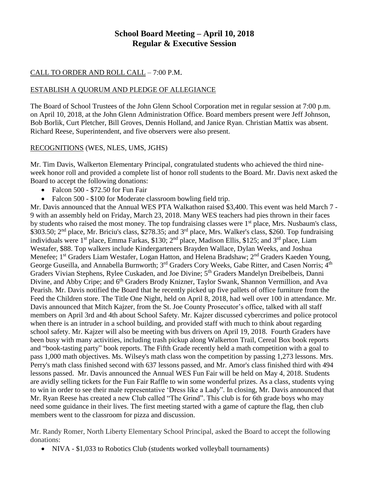## **School Board Meeting – April 10, 2018 Regular & Executive Session**

### CALL TO ORDER AND ROLL CALL – 7:00 P.M.

### ESTABLISH A QUORUM AND PLEDGE OF ALLEGIANCE

The Board of School Trustees of the John Glenn School Corporation met in regular session at 7:00 p.m. on April 10, 2018, at the John Glenn Administration Office. Board members present were Jeff Johnson, Bob Borlik, Curt Pletcher, Bill Groves, Dennis Holland, and Janice Ryan. Christian Mattix was absent. Richard Reese, Superintendent, and five observers were also present.

### RECOGNITIONS (WES, NLES, UMS, JGHS)

Mr. Tim Davis, Walkerton Elementary Principal, congratulated students who achieved the third nineweek honor roll and provided a complete list of honor roll students to the Board. Mr. Davis next asked the Board to accept the following donations:

- Falcon 500 \$72.50 for Fun Fair
- Falcon 500 \$100 for Moderate classroom bowling field trip.

Mr. Davis announced that the Annual WES PTA Walkathon raised \$3,400. This event was held March 7 -9 with an assembly held on Friday, March 23, 2018. Many WES teachers had pies thrown in their faces by students who raised the most money. The top fundraising classes were 1<sup>st</sup> place, Mrs. Nusbaum's class, \$303.50; 2<sup>nd</sup> place, Mr. Briciu's class, \$278.35; and 3<sup>rd</sup> place, Mrs. Walker's class, \$260. Top fundraising individuals were 1<sup>st</sup> place, Emma Farkas, \$130; 2<sup>nd</sup> place, Madison Ellis, \$125; and 3<sup>rd</sup> place, Liam Westafer, \$88. Top walkers include Kindergarteners Brayden Wallace, Dylan Weeks, and Joshua Menefee; 1<sup>st</sup> Graders Liam Westafer, Logan Hatton, and Helena Bradshaw; 2<sup>nd</sup> Graders Kaeden Young, George Guseilla, and Annabella Burnworth; 3<sup>rd</sup> Graders Cory Weeks, Gabe Ritter, and Casen Norris; 4<sup>th</sup> Graders Vivian Stephens, Rylee Cuskaden, and Joe Divine; 5<sup>th</sup> Graders Mandelyn Dreibelbeis, Danni Divine, and Abby Cripe; and 6<sup>th</sup> Graders Brody Knizner, Taylor Swank, Shannon Vermillion, and Ava Pearish. Mr. Davis notified the Board that he recently picked up five pallets of office furniture from the Feed the Children store. The Title One Night, held on April 8, 2018, had well over 100 in attendance. Mr. Davis announced that Mitch Kajzer, from the St. Joe County Prosecutor's office, talked with all staff members on April 3rd and 4th about School Safety. Mr. Kajzer discussed cybercrimes and police protocol when there is an intruder in a school building, and provided staff with much to think about regarding school safety. Mr. Kajzer will also be meeting with bus drivers on April 19, 2018. Fourth Graders have been busy with many activities, including trash pickup along Walkerton Trail, Cereal Box book reports and "book-tasting party" book reports. The Fifth Grade recently held a math competition with a goal to pass 1,000 math objectives. Ms. Wilsey's math class won the competition by passing 1,273 lessons. Mrs. Perry's math class finished second with 637 lessons passed, and Mr. Amor's class finished third with 494 lessons passed. Mr. Davis announced the Annual WES Fun Fair will be held on May 4, 2018. Students are avidly selling tickets for the Fun Fair Raffle to win some wonderful prizes. As a class, students vying to win in order to see their male representative 'Dress like a Lady". In closing, Mr. Davis announced that Mr. Ryan Reese has created a new Club called "The Grind". This club is for 6th grade boys who may need some guidance in their lives. The first meeting started with a game of capture the flag, then club members went to the classroom for pizza and discussion.

Mr. Randy Romer, North Liberty Elementary School Principal, asked the Board to accept the following donations:

• NIVA - \$1,033 to Robotics Club (students worked volleyball tournaments)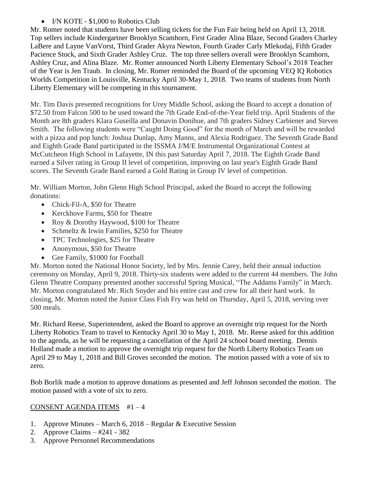• I/N KOTE - \$1,000 to Robotics Club

Mr. Romer noted that students have been selling tickets for the Fun Fair being held on April 13, 2018. Top sellers include Kindergartner Brooklyn Scamhorn, First Grader Alina Blaze, Second Graders Charley LaBere and Layne VanVorst, Third Grader Akyra Newton, Fourth Grader Carly Mlekodaj, Fifth Grader Pacience Stock, and Sixth Grader Ashley Cruz. The top three sellers overall were Brooklyn Scamhorn, Ashley Cruz, and Alina Blaze. Mr. Romer announced North Liberty Elementary School's 2018 Teacher of the Year is Jen Traub. In closing, Mr. Romer reminded the Board of the upcoming VEQ IQ Robotics Worlds Competition in Louisville, Kentucky April 30-May 1, 2018. Two teams of students from North Liberty Elementary will be competing in this tournament.

Mr. Tim Davis presented recognitions for Urey Middle School, asking the Board to accept a donation of \$72.50 from Falcon 500 to be used toward the 7th Grade End-of-the-Year field trip. April Students of the Month are 8th graders Klara Guseilla and Donavin Donihue, and 7th graders Sidney Carbiener and Steven Smith. The following students were "Caught Doing Good" for the month of March and will be rewarded with a pizza and pop lunch: Joshua Dunlap, Amy Manns, and Alexia Rodriguez. The Seventh Grade Band and Eighth Grade Band participated in the ISSMA J/M/E Instrumental Organizational Contest at McCutcheon High School in Lafayette, IN this past Saturday April 7, 2018. The Eighth Grade Band earned a Silver rating in Group II level of competition, improving on last year's Eighth Grade Band scores. The Seventh Grade Band earned a Gold Rating in Group IV level of competition.

Mr. William Morton, John Glenn High School Principal, asked the Board to accept the following donations:

- Chick-Fil-A, \$50 for Theatre
- Kerckhove Farms, \$50 for Theatre
- Roy & Dorothy Haywood, \$100 for Theatre
- Schmeltz & Irwin Families, \$250 for Theatre
- TPC Technologies, \$25 for Theatre
- Anonymous, \$50 for Theatre
- Gee Family, \$1000 for Football

Mr. Morton noted the National Honor Society, led by Mrs. Jennie Carey, held their annual induction ceremony on Monday, April 9, 2018. Thirty-six students were added to the current 44 members. The John Glenn Theatre Company presented another successful Spring Musical, "The Addams Family" in March. Mr. Morton congratulated Mr. Rich Snyder and his entire cast and crew for all their hard work. In closing, Mr. Morton noted the Junior Class Fish Fry was held on Thursday, April 5, 2018, serving over 500 meals.

Mr. Richard Reese, Superintendent, asked the Board to approve an overnight trip request for the North Liberty Robotics Team to travel to Kentucky April 30 to May 1, 2018. Mr. Reese asked for this addition to the agenda, as he will be requesting a cancellation of the April 24 school board meeting. Dennis Holland made a motion to approve the overnight trip request for the North Liberty Robotics Team on April 29 to May 1, 2018 and Bill Groves seconded the motion. The motion passed with a vote of six to zero.

Bob Borlik made a motion to approve donations as presented and Jeff Johnson seconded the motion. The motion passed with a vote of six to zero.

# CONSENT AGENDA ITEMS #1 – 4

- 1. Approve Minutes March 6, 2018 Regular & Executive Session
- 2. Approve Claims #241 382
- 3. Approve Personnel Recommendations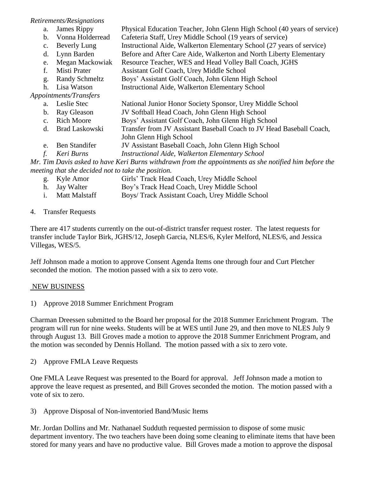### *Retirements/Resignations*

- a. James Rippy Physical Education Teacher, John Glenn High School (40 years of service)
	- b. Vonna Holderread Cafeteria Staff, Urey Middle School (19 years of service)
	- c. Beverly Lung Instructional Aide, Walkerton Elementary School (27 years of service)
	- d. Lynn Barden Before and After Care Aide, Walkerton and North Liberty Elementary
	- e. Megan Mackowiak Resource Teacher, WES and Head Volley Ball Coach, JGHS
	- f. Misti Prater Assistant Golf Coach, Urey Middle School
	- g. Randy Schmeltz Boys' Assistant Golf Coach, John Glenn High School
	- h. Lisa Watson Instructional Aide, Walkerton Elementary School

## *Appointments/Transfers*

- a. Leslie Stec National Junior Honor Society Sponsor, Urey Middle School
- b. Ray Gleason JV Softball Head Coach, John Glenn High School
- c. Rich Moore Boys' Assistant Golf Coach, John Glenn High School
- d. Brad Laskowski Transfer from JV Assistant Baseball Coach to JV Head Baseball Coach,
- John Glenn High School
- e. Ben Standifer JV Assistant Baseball Coach, John Glenn High School
- *f. Keri Burns Instructional Aide, Walkerton Elementary School*

*Mr. Tim Davis asked to have Keri Burns withdrawn from the appointments as she notified him before the meeting that she decided not to take the position.*

- g. Kyle Amor Girls' Track Head Coach, Urey Middle School
- h. Jay Walter Boy's Track Head Coach, Urey Middle School
- i. Matt Malstaff Boys/ Track Assistant Coach, Urey Middle School

# 4. Transfer Requests

There are 417 students currently on the out-of-district transfer request roster. The latest requests for transfer include Taylor Birk, JGHS/12, Joseph Garcia, NLES/6, Kyler Melford, NLES/6, and Jessica Villegas, WES/5.

Jeff Johnson made a motion to approve Consent Agenda Items one through four and Curt Pletcher seconded the motion. The motion passed with a six to zero vote.

# NEW BUSINESS

1) Approve 2018 Summer Enrichment Program

Charman Dreessen submitted to the Board her proposal for the 2018 Summer Enrichment Program. The program will run for nine weeks. Students will be at WES until June 29, and then move to NLES July 9 through August 13. Bill Groves made a motion to approve the 2018 Summer Enrichment Program, and the motion was seconded by Dennis Holland. The motion passed with a six to zero vote.

2) Approve FMLA Leave Requests

One FMLA Leave Request was presented to the Board for approval. Jeff Johnson made a motion to approve the leave request as presented, and Bill Groves seconded the motion. The motion passed with a vote of six to zero.

3) Approve Disposal of Non-inventoried Band/Music Items

Mr. Jordan Dollins and Mr. Nathanael Sudduth requested permission to dispose of some music department inventory. The two teachers have been doing some cleaning to eliminate items that have been stored for many years and have no productive value. Bill Groves made a motion to approve the disposal